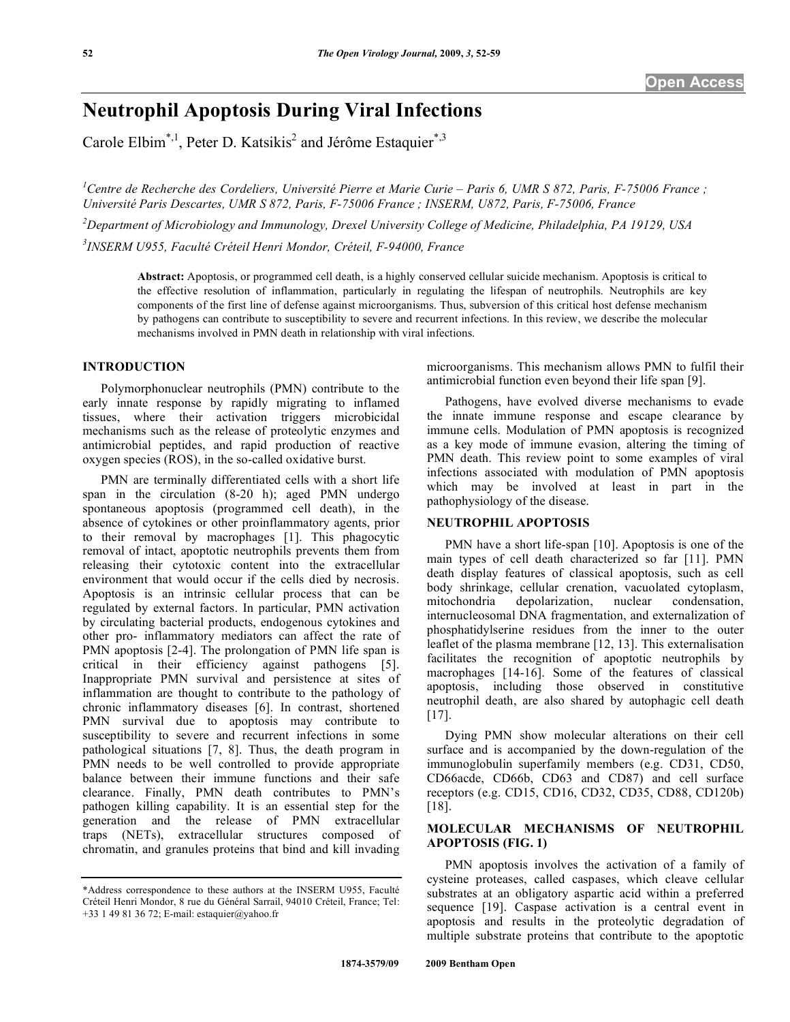# **Neutrophil Apoptosis During Viral Infections**

Carole Elbim<sup>\*,1</sup>, Peter D. Katsikis<sup>2</sup> and Jérôme Estaquier<sup>\*,3</sup>

<sup>1</sup> Centre de Recherche des Cordeliers, Université Pierre et Marie Curie – Paris 6, UMR S 872, Paris, F-75006 France ; *Université Paris Descartes, UMR S 872, Paris, F-75006 France ; INSERM, U872, Paris, F-75006, France* 

*2 Department of Microbiology and Immunology, Drexel University College of Medicine, Philadelphia, PA 19129, USA 3 INSERM U955, Faculté Créteil Henri Mondor, Créteil, F-94000, France* 

**Abstract:** Apoptosis, or programmed cell death, is a highly conserved cellular suicide mechanism. Apoptosis is critical to the effective resolution of inflammation, particularly in regulating the lifespan of neutrophils. Neutrophils are key components of the first line of defense against microorganisms. Thus, subversion of this critical host defense mechanism by pathogens can contribute to susceptibility to severe and recurrent infections. In this review, we describe the molecular mechanisms involved in PMN death in relationship with viral infections.

## **INTRODUCTION**

 Polymorphonuclear neutrophils (PMN) contribute to the early innate response by rapidly migrating to inflamed tissues, where their activation triggers microbicidal mechanisms such as the release of proteolytic enzymes and antimicrobial peptides, and rapid production of reactive oxygen species (ROS), in the so-called oxidative burst.

 PMN are terminally differentiated cells with a short life span in the circulation (8-20 h); aged PMN undergo spontaneous apoptosis (programmed cell death), in the absence of cytokines or other proinflammatory agents, prior to their removal by macrophages [1]. This phagocytic removal of intact, apoptotic neutrophils prevents them from releasing their cytotoxic content into the extracellular environment that would occur if the cells died by necrosis. Apoptosis is an intrinsic cellular process that can be regulated by external factors. In particular, PMN activation by circulating bacterial products, endogenous cytokines and other pro- inflammatory mediators can affect the rate of PMN apoptosis [2-4]. The prolongation of PMN life span is critical in their efficiency against pathogens [5]. Inappropriate PMN survival and persistence at sites of inflammation are thought to contribute to the pathology of chronic inflammatory diseases [6]. In contrast, shortened PMN survival due to apoptosis may contribute to susceptibility to severe and recurrent infections in some pathological situations [7, 8]. Thus, the death program in PMN needs to be well controlled to provide appropriate balance between their immune functions and their safe clearance. Finally, PMN death contributes to PMN's pathogen killing capability. It is an essential step for the generation and the release of PMN extracellular traps (NETs), extracellular structures composed of chromatin, and granules proteins that bind and kill invading microorganisms. This mechanism allows PMN to fulfil their antimicrobial function even beyond their life span [9].

 Pathogens, have evolved diverse mechanisms to evade the innate immune response and escape clearance by immune cells. Modulation of PMN apoptosis is recognized as a key mode of immune evasion, altering the timing of PMN death. This review point to some examples of viral infections associated with modulation of PMN apoptosis which may be involved at least in part in the pathophysiology of the disease.

#### **NEUTROPHIL APOPTOSIS**

 PMN have a short life-span [10]. Apoptosis is one of the main types of cell death characterized so far [11]. PMN death display features of classical apoptosis, such as cell body shrinkage, cellular crenation, vacuolated cytoplasm, mitochondria depolarization, nuclear condensation, internucleosomal DNA fragmentation, and externalization of phosphatidylserine residues from the inner to the outer leaflet of the plasma membrane [12, 13]. This externalisation facilitates the recognition of apoptotic neutrophils by macrophages [14-16]. Some of the features of classical apoptosis, including those observed in constitutive neutrophil death, are also shared by autophagic cell death [17].

 Dying PMN show molecular alterations on their cell surface and is accompanied by the down-regulation of the immunoglobulin superfamily members (e.g. CD31, CD50, CD66acde, CD66b, CD63 and CD87) and cell surface receptors (e.g. CD15, CD16, CD32, CD35, CD88, CD120b) [18].

## **MOLECULAR MECHANISMS OF NEUTROPHIL APOPTOSIS (FIG. 1)**

PMN apoptosis involves the activation of a family of cysteine proteases, called caspases, which cleave cellular substrates at an obligatory aspartic acid within a preferred sequence [19]. Caspase activation is a central event in apoptosis and results in the proteolytic degradation of multiple substrate proteins that contribute to the apoptotic

<sup>\*</sup>Address correspondence to these authors at the INSERM U955, Faculté Créteil Henri Mondor, 8 rue du Général Sarrail, 94010 Créteil, France; Tel: +33 1 49 81 36 72; E-mail: estaquier@yahoo.fr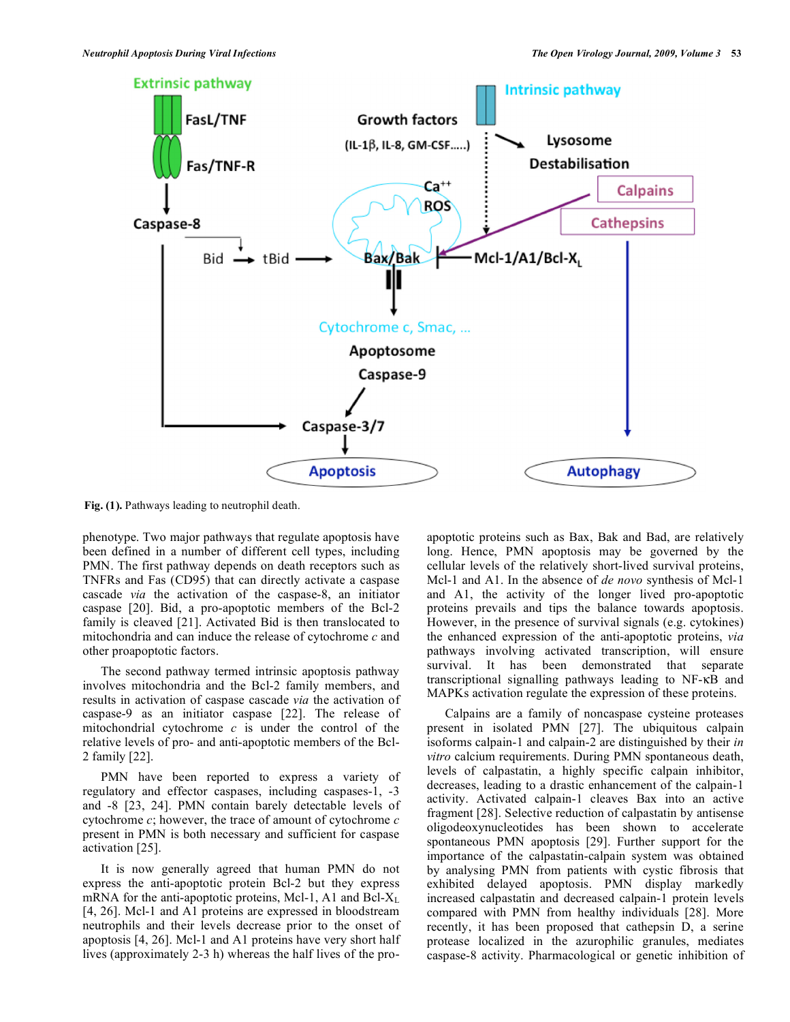

**Fig. (1).** Pathways leading to neutrophil death.

phenotype. Two major pathways that regulate apoptosis have been defined in a number of different cell types, including PMN. The first pathway depends on death receptors such as TNFRs and Fas (CD95) that can directly activate a caspase cascade *via* the activation of the caspase-8, an initiator caspase [20]. Bid, a pro-apoptotic members of the Bcl-2 family is cleaved [21]. Activated Bid is then translocated to mitochondria and can induce the release of cytochrome *c* and other proapoptotic factors.

 The second pathway termed intrinsic apoptosis pathway involves mitochondria and the Bcl-2 family members, and results in activation of caspase cascade *via* the activation of caspase-9 as an initiator caspase [22]. The release of mitochondrial cytochrome *c* is under the control of the relative levels of pro- and anti-apoptotic members of the Bcl-2 family [22].

 PMN have been reported to express a variety of regulatory and effector caspases, including caspases-1, -3 and -8 [23, 24]. PMN contain barely detectable levels of cytochrome *c*; however, the trace of amount of cytochrome *c* present in PMN is both necessary and sufficient for caspase activation [25].

 It is now generally agreed that human PMN do not express the anti-apoptotic protein Bcl-2 but they express mRNA for the anti-apoptotic proteins, Mcl-1, A1 and Bcl- $X_L$ [4, 26]. Mcl-1 and A1 proteins are expressed in bloodstream neutrophils and their levels decrease prior to the onset of apoptosis [4, 26]. Mcl-1 and A1 proteins have very short half lives (approximately 2-3 h) whereas the half lives of the proapoptotic proteins such as Bax, Bak and Bad, are relatively long. Hence, PMN apoptosis may be governed by the cellular levels of the relatively short-lived survival proteins, Mcl-1 and A1. In the absence of *de novo* synthesis of Mcl-1 and A1, the activity of the longer lived pro-apoptotic proteins prevails and tips the balance towards apoptosis. However, in the presence of survival signals (e.g. cytokines) the enhanced expression of the anti-apoptotic proteins, *via* pathways involving activated transcription, will ensure survival. It has been demonstrated that separate transcriptional signalling pathways leading to NF-KB and MAPKs activation regulate the expression of these proteins.

Calpains are a family of noncaspase cysteine proteases present in isolated PMN [27]. The ubiquitous calpain isoforms calpain-1 and calpain-2 are distinguished by their *in vitro* calcium requirements. During PMN spontaneous death, levels of calpastatin, a highly specific calpain inhibitor, decreases, leading to a drastic enhancement of the calpain-1 activity. Activated calpain-1 cleaves Bax into an active fragment [28]. Selective reduction of calpastatin by antisense oligodeoxynucleotides has been shown to accelerate spontaneous PMN apoptosis [29]. Further support for the importance of the calpastatin-calpain system was obtained by analysing PMN from patients with cystic fibrosis that exhibited delayed apoptosis. PMN display markedly increased calpastatin and decreased calpain-1 protein levels compared with PMN from healthy individuals [28]. More recently, it has been proposed that cathepsin D, a serine protease localized in the azurophilic granules, mediates caspase-8 activity. Pharmacological or genetic inhibition of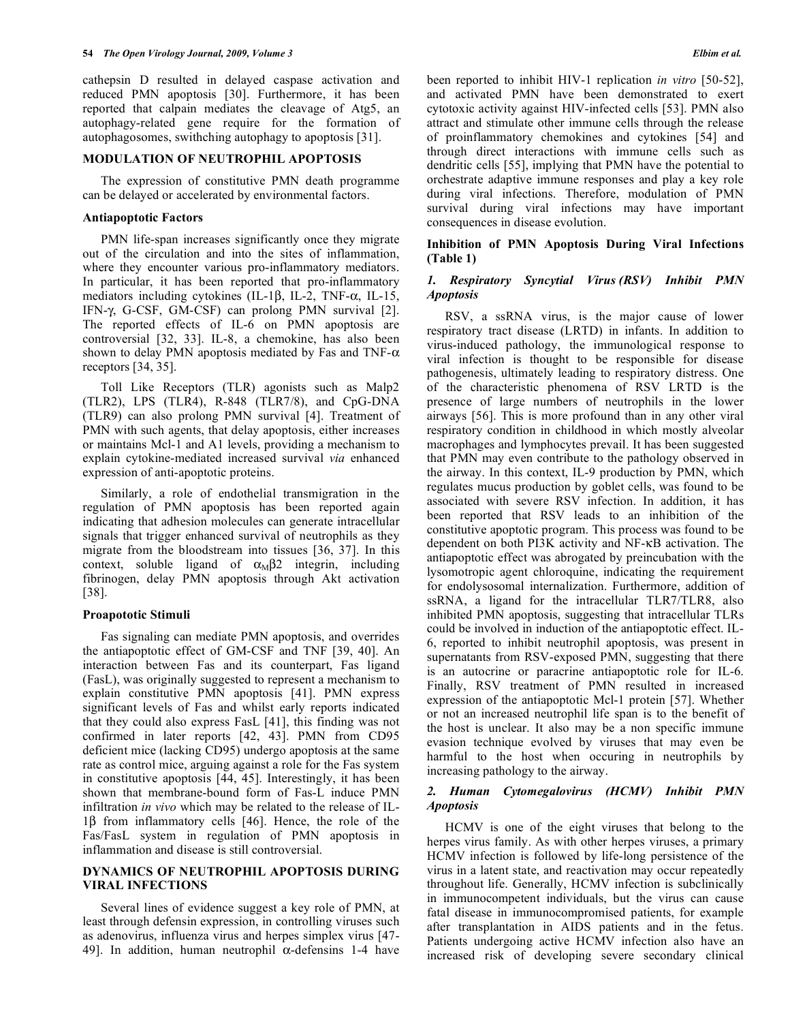cathepsin D resulted in delayed caspase activation and reduced PMN apoptosis [30]. Furthermore, it has been reported that calpain mediates the cleavage of Atg5, an autophagy-related gene require for the formation of autophagosomes, swithching autophagy to apoptosis [31].

#### **MODULATION OF NEUTROPHIL APOPTOSIS**

 The expression of constitutive PMN death programme can be delayed or accelerated by environmental factors.

#### **Antiapoptotic Factors**

 PMN life-span increases significantly once they migrate out of the circulation and into the sites of inflammation, where they encounter various pro-inflammatory mediators. In particular, it has been reported that pro-inflammatory mediators including cytokines (IL-1 $\beta$ , IL-2, TNF- $\alpha$ , IL-15, IFN- $\gamma$ , G-CSF, GM-CSF) can prolong PMN survival [2]. The reported effects of IL-6 on PMN apoptosis are controversial [32, 33]. IL-8, a chemokine, has also been shown to delay PMN apoptosis mediated by Fas and TNF- $\alpha$ receptors [34, 35].

 Toll Like Receptors (TLR) agonists such as Malp2 (TLR2), LPS (TLR4), R-848 (TLR7/8), and CpG-DNA (TLR9) can also prolong PMN survival [4]. Treatment of PMN with such agents, that delay apoptosis, either increases or maintains Mcl-1 and A1 levels, providing a mechanism to explain cytokine-mediated increased survival *via* enhanced expression of anti-apoptotic proteins.

 Similarly, a role of endothelial transmigration in the regulation of PMN apoptosis has been reported again indicating that adhesion molecules can generate intracellular signals that trigger enhanced survival of neutrophils as they migrate from the bloodstream into tissues [36, 37]. In this context, soluble ligand of  $\alpha_M\beta2$  integrin, including fibrinogen, delay PMN apoptosis through Akt activation [38].

#### **Proapototic Stimuli**

 Fas signaling can mediate PMN apoptosis, and overrides the antiapoptotic effect of GM-CSF and TNF [39, 40]. An interaction between Fas and its counterpart, Fas ligand (FasL), was originally suggested to represent a mechanism to explain constitutive PMN apoptosis [41]. PMN express significant levels of Fas and whilst early reports indicated that they could also express FasL [41], this finding was not confirmed in later reports [42, 43]. PMN from CD95 deficient mice (lacking CD95) undergo apoptosis at the same rate as control mice, arguing against a role for the Fas system in constitutive apoptosis [44, 45]. Interestingly, it has been shown that membrane-bound form of Fas-L induce PMN infiltration *in vivo* which may be related to the release of IL- $1\beta$  from inflammatory cells [46]. Hence, the role of the Fas/FasL system in regulation of PMN apoptosis in inflammation and disease is still controversial.

## **DYNAMICS OF NEUTROPHIL APOPTOSIS DURING VIRAL INFECTIONS**

 Several lines of evidence suggest a key role of PMN, at least through defensin expression, in controlling viruses such as adenovirus, influenza virus and herpes simplex virus [47- 49]. In addition, human neutrophil  $\alpha$ -defensins 1-4 have

been reported to inhibit HIV-1 replication *in vitro* [50-52], and activated PMN have been demonstrated to exert cytotoxic activity against HIV-infected cells [53]. PMN also attract and stimulate other immune cells through the release of proinflammatory chemokines and cytokines [54] and through direct interactions with immune cells such as dendritic cells [55], implying that PMN have the potential to orchestrate adaptive immune responses and play a key role during viral infections. Therefore, modulation of PMN survival during viral infections may have important consequences in disease evolution.

#### **Inhibition of PMN Apoptosis During Viral Infections (Table 1)**

## *1. Respiratory Syncytial Virus (RSV) Inhibit PMN Apoptosis*

 RSV, a ssRNA virus, is the major cause of lower respiratory tract disease (LRTD) in infants. In addition to virus-induced pathology, the immunological response to viral infection is thought to be responsible for disease pathogenesis, ultimately leading to respiratory distress. One of the characteristic phenomena of RSV LRTD is the presence of large numbers of neutrophils in the lower airways [56]. This is more profound than in any other viral respiratory condition in childhood in which mostly alveolar macrophages and lymphocytes prevail. It has been suggested that PMN may even contribute to the pathology observed in the airway. In this context, IL-9 production by PMN, which regulates mucus production by goblet cells, was found to be associated with severe RSV infection. In addition, it has been reported that RSV leads to an inhibition of the constitutive apoptotic program. This process was found to be dependent on both PI3K activity and NF- $\kappa$ B activation. The antiapoptotic effect was abrogated by preincubation with the lysomotropic agent chloroquine, indicating the requirement for endolysosomal internalization. Furthermore, addition of ssRNA, a ligand for the intracellular TLR7/TLR8, also inhibited PMN apoptosis, suggesting that intracellular TLRs could be involved in induction of the antiapoptotic effect. IL-6, reported to inhibit neutrophil apoptosis, was present in supernatants from RSV-exposed PMN, suggesting that there is an autocrine or paracrine antiapoptotic role for IL-6. Finally, RSV treatment of PMN resulted in increased expression of the antiapoptotic Mcl-1 protein [57]. Whether or not an increased neutrophil life span is to the benefit of the host is unclear. It also may be a non specific immune evasion technique evolved by viruses that may even be harmful to the host when occuring in neutrophils by increasing pathology to the airway.

## *2. Human Cytomegalovirus (HCMV) Inhibit PMN Apoptosis*

 HCMV is one of the eight viruses that belong to the herpes virus family. As with other herpes viruses, a primary HCMV infection is followed by life-long persistence of the virus in a latent state, and reactivation may occur repeatedly throughout life. Generally, HCMV infection is subclinically in immunocompetent individuals, but the virus can cause fatal disease in immunocompromised patients, for example after transplantation in AIDS patients and in the fetus. Patients undergoing active HCMV infection also have an increased risk of developing severe secondary clinical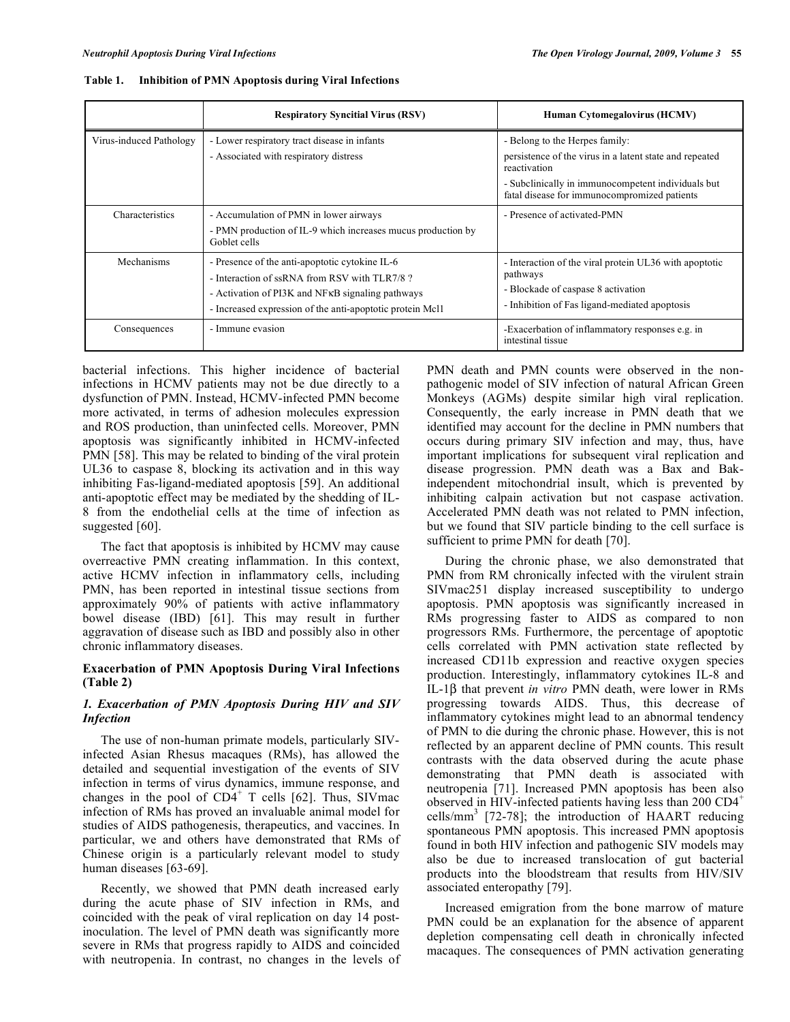|                         | <b>Respiratory Syncitial Virus (RSV)</b>                                                                                                                                                                                    | Human Cytomegalovirus (HCMV)                                                                                                                                                                                    |
|-------------------------|-----------------------------------------------------------------------------------------------------------------------------------------------------------------------------------------------------------------------------|-----------------------------------------------------------------------------------------------------------------------------------------------------------------------------------------------------------------|
| Virus-induced Pathology | - Lower respiratory tract disease in infants<br>- Associated with respiratory distress                                                                                                                                      | - Belong to the Herpes family:<br>persistence of the virus in a latent state and repeated<br>reactivation<br>- Subclinically in immunocompetent individuals but<br>fatal disease for immunocompromized patients |
| <b>Characteristics</b>  | - Accumulation of PMN in lower airways<br>- PMN production of IL-9 which increases mucus production by<br>Goblet cells                                                                                                      | - Presence of activated-PMN                                                                                                                                                                                     |
| Mechanisms              | - Presence of the anti-apoptotic cytokine IL-6<br>- Interaction of ssRNA from RSV with TLR7/8?<br>- Activation of PI3K and NF <sub>KB</sub> signaling pathways<br>- Increased expression of the anti-apoptotic protein Mcl1 | - Interaction of the viral protein UL36 with apoptotic<br>pathways<br>- Blockade of caspase 8 activation<br>- Inhibition of Fas ligand-mediated apoptosis                                                       |
| Consequences            | - Immune evasion                                                                                                                                                                                                            | -Exacerbation of inflammatory responses e.g. in<br>intestinal tissue                                                                                                                                            |

**Table 1. Inhibition of PMN Apoptosis during Viral Infections** 

bacterial infections. This higher incidence of bacterial infections in HCMV patients may not be due directly to a dysfunction of PMN. Instead, HCMV-infected PMN become more activated, in terms of adhesion molecules expression and ROS production, than uninfected cells. Moreover, PMN apoptosis was significantly inhibited in HCMV-infected PMN [58]. This may be related to binding of the viral protein UL36 to caspase 8, blocking its activation and in this way inhibiting Fas-ligand-mediated apoptosis [59]. An additional anti-apoptotic effect may be mediated by the shedding of IL-8 from the endothelial cells at the time of infection as suggested [60].

 The fact that apoptosis is inhibited by HCMV may cause overreactive PMN creating inflammation. In this context, active HCMV infection in inflammatory cells, including PMN, has been reported in intestinal tissue sections from approximately 90% of patients with active inflammatory bowel disease (IBD) [61]. This may result in further aggravation of disease such as IBD and possibly also in other chronic inflammatory diseases.

## **Exacerbation of PMN Apoptosis During Viral Infections (Table 2)**

## *1. Exacerbation of PMN Apoptosis During HIV and SIV Infection*

 The use of non-human primate models, particularly SIVinfected Asian Rhesus macaques (RMs), has allowed the detailed and sequential investigation of the events of SIV infection in terms of virus dynamics, immune response, and changes in the pool of  $CD4^+$  T cells [62]. Thus, SIV mac infection of RMs has proved an invaluable animal model for studies of AIDS pathogenesis, therapeutics, and vaccines. In particular, we and others have demonstrated that RMs of Chinese origin is a particularly relevant model to study human diseases [63-69].

 Recently, we showed that PMN death increased early during the acute phase of SIV infection in RMs, and coincided with the peak of viral replication on day 14 postinoculation. The level of PMN death was significantly more severe in RMs that progress rapidly to AIDS and coincided with neutropenia. In contrast, no changes in the levels of PMN death and PMN counts were observed in the nonpathogenic model of SIV infection of natural African Green Monkeys (AGMs) despite similar high viral replication. Consequently, the early increase in PMN death that we identified may account for the decline in PMN numbers that occurs during primary SIV infection and may, thus, have important implications for subsequent viral replication and disease progression. PMN death was a Bax and Bakindependent mitochondrial insult, which is prevented by inhibiting calpain activation but not caspase activation. Accelerated PMN death was not related to PMN infection, but we found that SIV particle binding to the cell surface is sufficient to prime PMN for death [70].

 During the chronic phase, we also demonstrated that PMN from RM chronically infected with the virulent strain SIVmac251 display increased susceptibility to undergo apoptosis. PMN apoptosis was significantly increased in RMs progressing faster to AIDS as compared to non progressors RMs. Furthermore, the percentage of apoptotic cells correlated with PMN activation state reflected by increased CD11b expression and reactive oxygen species production. Interestingly, inflammatory cytokines IL-8 and IL-1 $\beta$  that prevent *in vitro* PMN death, were lower in RMs progressing towards AIDS. Thus, this decrease of inflammatory cytokines might lead to an abnormal tendency of PMN to die during the chronic phase. However, this is not reflected by an apparent decline of PMN counts. This result contrasts with the data observed during the acute phase demonstrating that PMN death is associated with neutropenia [71]. Increased PMN apoptosis has been also observed in HIV-infected patients having less than 200 CD4<sup>+</sup> cells/mm3 [72-78]; the introduction of HAART reducing spontaneous PMN apoptosis. This increased PMN apoptosis found in both HIV infection and pathogenic SIV models may also be due to increased translocation of gut bacterial products into the bloodstream that results from HIV/SIV associated enteropathy [79].

 Increased emigration from the bone marrow of mature PMN could be an explanation for the absence of apparent depletion compensating cell death in chronically infected macaques. The consequences of PMN activation generating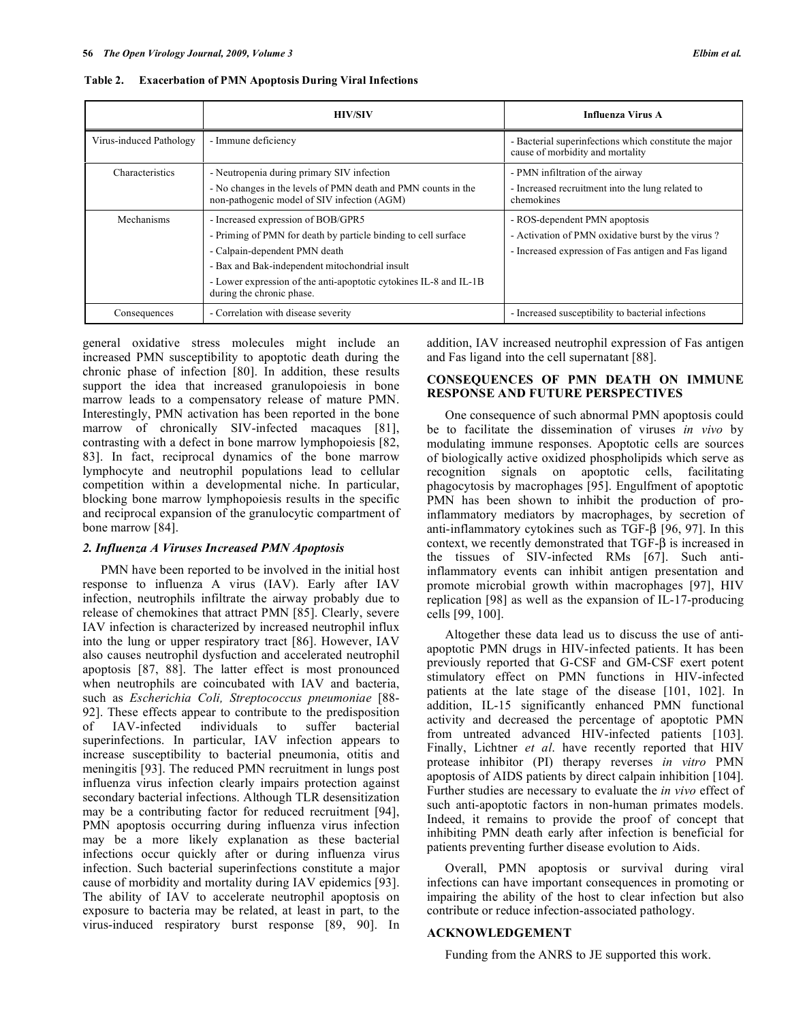|                         | <b>HIV/SIV</b>                                                                                                                                                                                                                                                                            | <b>Influenza Virus A</b>                                                                                                                   |
|-------------------------|-------------------------------------------------------------------------------------------------------------------------------------------------------------------------------------------------------------------------------------------------------------------------------------------|--------------------------------------------------------------------------------------------------------------------------------------------|
| Virus-induced Pathology | - Immune deficiency                                                                                                                                                                                                                                                                       | - Bacterial superinfections which constitute the major<br>cause of morbidity and mortality                                                 |
| Characteristics         | - Neutropenia during primary SIV infection<br>- No changes in the levels of PMN death and PMN counts in the<br>non-pathogenic model of SIV infection (AGM)                                                                                                                                | - PMN infiltration of the airway<br>- Increased recruitment into the lung related to<br>chemokines                                         |
| Mechanisms              | - Increased expression of BOB/GPR5<br>- Priming of PMN for death by particle binding to cell surface<br>- Calpain-dependent PMN death<br>- Bax and Bak-independent mitochondrial insult<br>- Lower expression of the anti-apoptotic cytokines IL-8 and IL-1B<br>during the chronic phase. | - ROS-dependent PMN apoptosis<br>- Activation of PMN oxidative burst by the virus?<br>- Increased expression of Fas antigen and Fas ligand |
| Consequences            | - Correlation with disease severity                                                                                                                                                                                                                                                       | - Increased susceptibility to bacterial infections                                                                                         |

**Table 2. Exacerbation of PMN Apoptosis During Viral Infections** 

general oxidative stress molecules might include an increased PMN susceptibility to apoptotic death during the chronic phase of infection [80]. In addition, these results support the idea that increased granulopoiesis in bone marrow leads to a compensatory release of mature PMN. Interestingly, PMN activation has been reported in the bone marrow of chronically SIV-infected macaques [81], contrasting with a defect in bone marrow lymphopoiesis [82, 83]. In fact, reciprocal dynamics of the bone marrow lymphocyte and neutrophil populations lead to cellular competition within a developmental niche. In particular, blocking bone marrow lymphopoiesis results in the specific and reciprocal expansion of the granulocytic compartment of bone marrow [84].

#### *2. Influenza A Viruses Increased PMN Apoptosis*

 PMN have been reported to be involved in the initial host response to influenza A virus (IAV). Early after IAV infection, neutrophils infiltrate the airway probably due to release of chemokines that attract PMN [85]. Clearly, severe IAV infection is characterized by increased neutrophil influx into the lung or upper respiratory tract [86]. However, IAV also causes neutrophil dysfuction and accelerated neutrophil apoptosis [87, 88]. The latter effect is most pronounced when neutrophils are coincubated with IAV and bacteria, such as *Escherichia Coli, Streptococcus pneumoniae* [88- 92]. These effects appear to contribute to the predisposition of IAV-infected individuals to suffer bacterial superinfections. In particular, IAV infection appears to increase susceptibility to bacterial pneumonia, otitis and meningitis [93]. The reduced PMN recruitment in lungs post influenza virus infection clearly impairs protection against secondary bacterial infections. Although TLR desensitization may be a contributing factor for reduced recruitment [94], PMN apoptosis occurring during influenza virus infection may be a more likely explanation as these bacterial infections occur quickly after or during influenza virus infection. Such bacterial superinfections constitute a major cause of morbidity and mortality during IAV epidemics [93]. The ability of IAV to accelerate neutrophil apoptosis on exposure to bacteria may be related, at least in part, to the virus-induced respiratory burst response [89, 90]. In

addition, IAV increased neutrophil expression of Fas antigen and Fas ligand into the cell supernatant [88].

## **CONSEQUENCES OF PMN DEATH ON IMMUNE RESPONSE AND FUTURE PERSPECTIVES**

 One consequence of such abnormal PMN apoptosis could be to facilitate the dissemination of viruses *in vivo* by modulating immune responses. Apoptotic cells are sources of biologically active oxidized phospholipids which serve as recognition signals on apoptotic cells, facilitating phagocytosis by macrophages [95]. Engulfment of apoptotic PMN has been shown to inhibit the production of proinflammatory mediators by macrophages, by secretion of anti-inflammatory cytokines such as TGF- $\beta$  [96, 97]. In this context, we recently demonstrated that  $TGF-\beta$  is increased in the tissues of SIV-infected RMs [67]. Such antiinflammatory events can inhibit antigen presentation and promote microbial growth within macrophages [97], HIV replication [98] as well as the expansion of IL-17-producing cells [99, 100].

 Altogether these data lead us to discuss the use of antiapoptotic PMN drugs in HIV-infected patients. It has been previously reported that G-CSF and GM-CSF exert potent stimulatory effect on PMN functions in HIV-infected patients at the late stage of the disease [101, 102]. In addition, IL-15 significantly enhanced PMN functional activity and decreased the percentage of apoptotic PMN from untreated advanced HIV-infected patients [103]. Finally, Lichtner *et al*. have recently reported that HIV protease inhibitor (PI) therapy reverses *in vitro* PMN apoptosis of AIDS patients by direct calpain inhibition [104]. Further studies are necessary to evaluate the *in vivo* effect of such anti-apoptotic factors in non-human primates models. Indeed, it remains to provide the proof of concept that inhibiting PMN death early after infection is beneficial for patients preventing further disease evolution to Aids.

 Overall, PMN apoptosis or survival during viral infections can have important consequences in promoting or impairing the ability of the host to clear infection but also contribute or reduce infection-associated pathology.

#### **ACKNOWLEDGEMENT**

Funding from the ANRS to JE supported this work.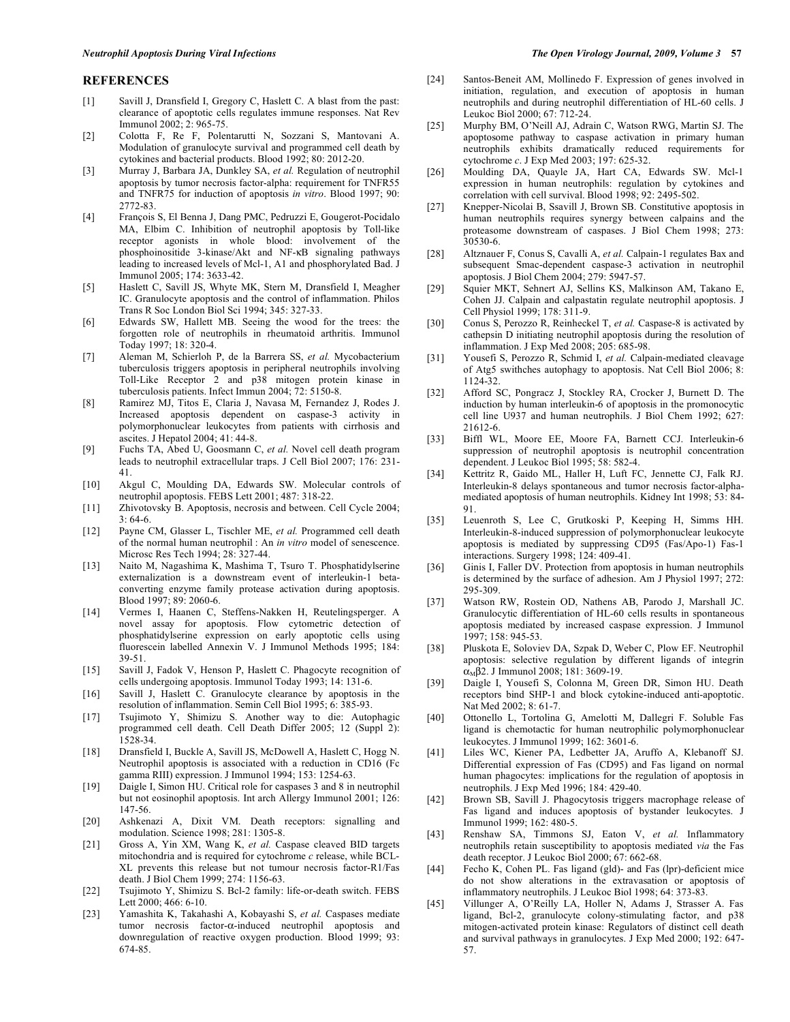#### **REFERENCES**

- [1] Savill J, Dransfield I, Gregory C, Haslett C. A blast from the past: clearance of apoptotic cells regulates immune responses. Nat Rev Immunol 2002; 2: 965-75.
- [2] Colotta F, Re F, Polentarutti N, Sozzani S, Mantovani A. Modulation of granulocyte survival and programmed cell death by cytokines and bacterial products. Blood 1992; 80: 2012-20.
- [3] Murray J, Barbara JA, Dunkley SA, *et al.* Regulation of neutrophil apoptosis by tumor necrosis factor-alpha: requirement for TNFR55 and TNFR75 for induction of apoptosis *in vitro*. Blood 1997; 90: 2772-83.
- [4] François S, El Benna J, Dang PMC, Pedruzzi E, Gougerot-Pocidalo MA, Elbim C. Inhibition of neutrophil apoptosis by Toll-like receptor agonists in whole blood: involvement of the phosphoinositide 3-kinase/Akt and NF-KB signaling pathways leading to increased levels of Mcl-1, A1 and phosphorylated Bad. J Immunol 2005; 174: 3633-42.
- [5] Haslett C, Savill JS, Whyte MK, Stern M, Dransfield I, Meagher IC. Granulocyte apoptosis and the control of inflammation. Philos Trans R Soc London Biol Sci 1994; 345: 327-33.
- [6] Edwards SW, Hallett MB. Seeing the wood for the trees: the forgotten role of neutrophils in rheumatoid arthritis. Immunol Today 1997; 18: 320-4.
- [7] Aleman M, Schierloh P, de la Barrera SS, *et al.* Mycobacterium tuberculosis triggers apoptosis in peripheral neutrophils involving Toll-Like Receptor 2 and p38 mitogen protein kinase in tuberculosis patients. Infect Immun 2004; 72: 5150-8.
- [8] Ramirez MJ, Titos E, Claria J, Navasa M, Fernandez J, Rodes J. Increased apoptosis dependent on caspase-3 activity in polymorphonuclear leukocytes from patients with cirrhosis and ascites. J Hepatol 2004; 41: 44-8.
- [9] Fuchs TA, Abed U, Goosmann C, *et al.* Novel cell death program leads to neutrophil extracellular traps. J Cell Biol 2007; 176: 231- 41.
- [10] Akgul C, Moulding DA, Edwards SW. Molecular controls of neutrophil apoptosis. FEBS Lett 2001; 487: 318-22.
- [11] Zhivotovsky B. Apoptosis, necrosis and between. Cell Cycle 2004; 3: 64-6.
- [12] Payne CM, Glasser L, Tischler ME, *et al.* Programmed cell death of the normal human neutrophil : An *in vitro* model of senescence. Microsc Res Tech 1994; 28: 327-44.
- [13] Naito M, Nagashima K, Mashima T, Tsuro T. Phosphatidylserine externalization is a downstream event of interleukin-1 betaconverting enzyme family protease activation during apoptosis. Blood 1997; 89: 2060-6.
- [14] Vermes I, Haanen C, Steffens-Nakken H, Reutelingsperger. A novel assay for apoptosis. Flow cytometric detection of phosphatidylserine expression on early apoptotic cells using fluorescein labelled Annexin V. J Immunol Methods 1995; 184: 39-51.
- [15] Savill J, Fadok V, Henson P, Haslett C. Phagocyte recognition of cells undergoing apoptosis. Immunol Today 1993; 14: 131-6.
- [16] Savill J, Haslett C. Granulocyte clearance by apoptosis in the resolution of inflammation. Semin Cell Biol 1995; 6: 385-93.
- [17] Tsujimoto Y, Shimizu S. Another way to die: Autophagic programmed cell death. Cell Death Differ 2005; 12 (Suppl 2): 1528-34.
- [18] Dransfield I, Buckle A, Savill JS, McDowell A, Haslett C, Hogg N. Neutrophil apoptosis is associated with a reduction in CD16 (Fc gamma RIII) expression. J Immunol 1994; 153: 1254-63.
- [19] Daigle I, Simon HU. Critical role for caspases 3 and 8 in neutrophil but not eosinophil apoptosis. Int arch Allergy Immunol 2001; 126: 147-56.
- [20] Ashkenazi A, Dixit VM. Death receptors: signalling and modulation. Science 1998; 281: 1305-8.
- [21] Gross A, Yin XM, Wang K, *et al.* Caspase cleaved BID targets mitochondria and is required for cytochrome *c* release, while BCL-XL prevents this release but not tumour necrosis factor-R1/Fas death. J Biol Chem 1999; 274: 1156-63.
- [22] Tsujimoto Y, Shimizu S. Bcl-2 family: life-or-death switch. FEBS Lett 2000; 466: 6-10.
- [23] Yamashita K, Takahashi A, Kobayashi S, *et al.* Caspases mediate tumor necrosis factor- $\alpha$ -induced neutrophil apoptosis and downregulation of reactive oxygen production. Blood 1999; 93: 674-85.
- [24] Santos-Beneit AM, Mollinedo F. Expression of genes involved in initiation, regulation, and execution of apoptosis in human neutrophils and during neutrophil differentiation of HL-60 cells. J Leukoc Biol 2000; 67: 712-24.
- [25] Murphy BM, O'Neill AJ, Adrain C, Watson RWG, Martin SJ. The apoptosome pathway to caspase activation in primary human neutrophils exhibits dramatically reduced requirements for cytochrome *c*. J Exp Med 2003; 197: 625-32.
- [26] Moulding DA, Quayle JA, Hart CA, Edwards SW. Mcl-1 expression in human neutrophils: regulation by cytokines and correlation with cell survival. Blood 1998; 92: 2495-502.
- [27] Knepper-Nicolai B, Ssavill J, Brown SB. Constitutive apoptosis in human neutrophils requires synergy between calpains and the proteasome downstream of caspases. J Biol Chem 1998; 273: 30530-6.
- [28] Altznauer F, Conus S, Cavalli A, *et al.* Calpain-1 regulates Bax and subsequent Smac-dependent caspase-3 activation in neutrophil apoptosis. J Biol Chem 2004; 279: 5947-57.
- [29] Squier MKT, Sehnert AJ, Sellins KS, Malkinson AM, Takano E, Cohen JJ. Calpain and calpastatin regulate neutrophil apoptosis. J Cell Physiol 1999; 178: 311-9.
- [30] Conus S, Perozzo R, Reinheckel T, *et al.* Caspase-8 is activated by cathepsin D initiating neutrophil apoptosis during the resolution of inflammation. J Exp Med 2008; 205: 685-98.
- [31] Yousefi S, Perozzo R, Schmid I, *et al.* Calpain-mediated cleavage of Atg5 swithches autophagy to apoptosis. Nat Cell Biol 2006; 8: 1124-32.
- [32] Afford SC, Pongracz J, Stockley RA, Crocker J, Burnett D. The induction by human interleukin-6 of apoptosis in the promonocytic cell line U937 and human neutrophils. J Biol Chem 1992; 627: 21612-6.
- [33] Biffl WL, Moore EE, Moore FA, Barnett CCJ. Interleukin-6 suppression of neutrophil apoptosis is neutrophil concentration dependent. J Leukoc Biol 1995; 58: 582-4.
- [34] Kettritz R, Gaido ML, Haller H, Luft FC, Jennette CJ, Falk RJ. Interleukin-8 delays spontaneous and tumor necrosis factor-alphamediated apoptosis of human neutrophils. Kidney Int 1998; 53: 84- 91.
- [35] Leuenroth S, Lee C, Grutkoski P, Keeping H, Simms HH. Interleukin-8-induced suppression of polymorphonuclear leukocyte apoptosis is mediated by suppressing CD95 (Fas/Apo-1) Fas-1 interactions. Surgery 1998; 124: 409-41.
- [36] Ginis I, Faller DV. Protection from apoptosis in human neutrophils is determined by the surface of adhesion. Am J Physiol 1997; 272: 295-309.
- [37] Watson RW, Rostein OD, Nathens AB, Parodo J, Marshall JC. Granulocytic differentiation of HL-60 cells results in spontaneous apoptosis mediated by increased caspase expression. J Immunol 1997; 158: 945-53.
- [38] Pluskota E, Soloviev DA, Szpak D, Weber C, Plow EF. Neutrophil apoptosis: selective regulation by different ligands of integrin  $\alpha_{\text{M}}$  $\beta$ 2. J Immunol 2008; 181: 3609-19.
- [39] Daigle I, Yousefi S, Colonna M, Green DR, Simon HU. Death receptors bind SHP-1 and block cytokine-induced anti-apoptotic. Nat Med 2002; 8: 61-7.
- [40] Ottonello L, Tortolina G, Amelotti M, Dallegri F. Soluble Fas ligand is chemotactic for human neutrophilic polymorphonuclear leukocytes. J Immunol 1999; 162: 3601-6.
- [41] Liles WC, Kiener PA, Ledbetter JA, Aruffo A, Klebanoff SJ. Differential expression of Fas (CD95) and Fas ligand on normal human phagocytes: implications for the regulation of apoptosis in neutrophils. J Exp Med 1996; 184: 429-40.
- [42] Brown SB, Savill J. Phagocytosis triggers macrophage release of Fas ligand and induces apoptosis of bystander leukocytes. J Immunol 1999; 162: 480-5.
- [43] Renshaw SA, Timmons SJ, Eaton V, *et al.* Inflammatory neutrophils retain susceptibility to apoptosis mediated *via* the Fas death receptor. J Leukoc Biol 2000; 67: 662-68.
- [44] Fecho K, Cohen PL. Fas ligand (gld)- and Fas (lpr)-deficient mice do not show alterations in the extravasation or apoptosis of inflammatory neutrophils. J Leukoc Biol 1998; 64: 373-83.
- [45] Villunger A, O'Reilly LA, Holler N, Adams J, Strasser A. Fas ligand, Bcl-2, granulocyte colony-stimulating factor, and p38 mitogen-activated protein kinase: Regulators of distinct cell death and survival pathways in granulocytes. J Exp Med 2000; 192: 647- 57.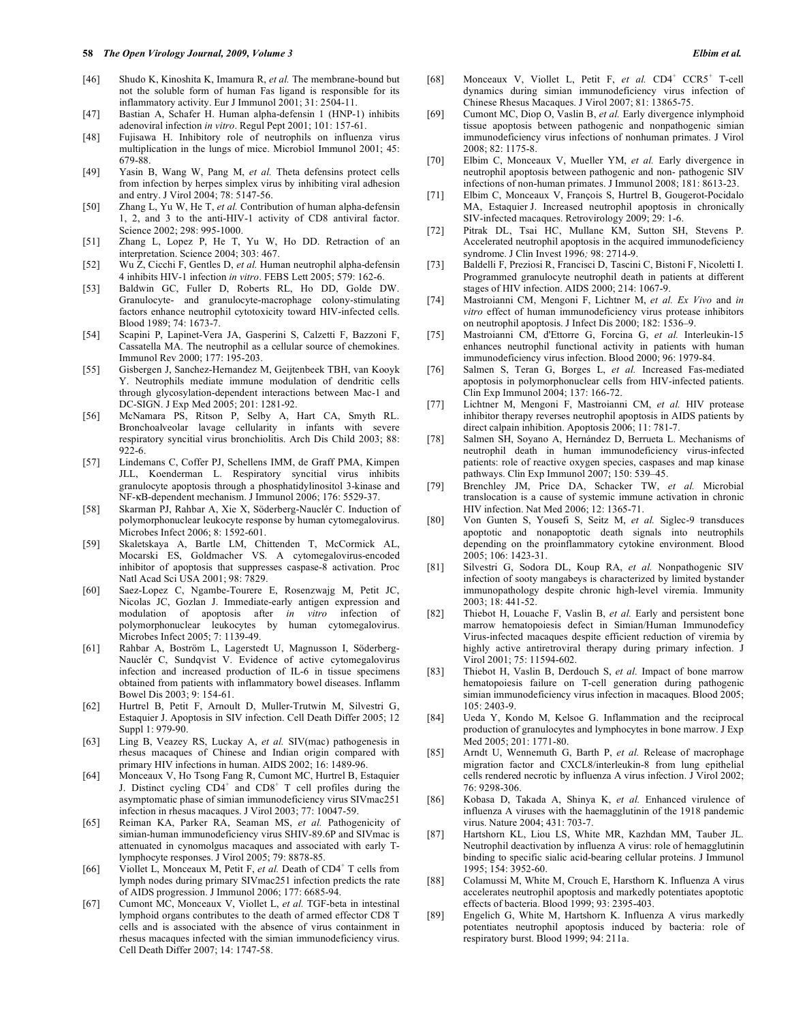- [46] Shudo K, Kinoshita K, Imamura R, *et al.* The membrane-bound but not the soluble form of human Fas ligand is responsible for its inflammatory activity. Eur J Immunol 2001; 31: 2504-11.
- [47] Bastian A, Schafer H. Human alpha-defensin 1 (HNP-1) inhibits adenoviral infection *in vitro*. Regul Pept 2001; 101: 157-61.
- [48] Fujisawa H. Inhibitory role of neutrophils on influenza virus multiplication in the lungs of mice. Microbiol Immunol 2001; 45: 679-88.
- [49] Yasin B, Wang W, Pang M, *et al.* Theta defensins protect cells from infection by herpes simplex virus by inhibiting viral adhesion and entry. J Virol 2004; 78: 5147-56.
- [50] Zhang L, Yu W, He T, *et al.* Contribution of human alpha-defensin 1, 2, and 3 to the anti-HIV-1 activity of CD8 antiviral factor. Science 2002; 298: 995-1000.
- [51] Zhang L, Lopez P, He T, Yu W, Ho DD. Retraction of an interpretation. Science 2004; 303: 467.
- [52] Wu Z, Cicchi F, Gentles D, *et al.* Human neutrophil alpha-defensin 4 inhibits HIV-1 infection *in vitro*. FEBS Lett 2005; 579: 162-6.
- [53] Baldwin GC, Fuller D, Roberts RL, Ho DD, Golde DW. Granulocyte- and granulocyte-macrophage colony-stimulating factors enhance neutrophil cytotoxicity toward HIV-infected cells. Blood 1989; 74: 1673-7.
- [54] Scapini P, Lapinet-Vera JA, Gasperini S, Calzetti F, Bazzoni F, Cassatella MA. The neutrophil as a cellular source of chemokines. Immunol Rev 2000; 177: 195-203.
- [55] Gisbergen J, Sanchez-Hernandez M, Geijtenbeek TBH, van Kooyk Y. Neutrophils mediate immune modulation of dendritic cells through glycosylation-dependent interactions between Mac-1 and DC-SIGN. J Exp Med 2005; 201: 1281-92.
- [56] McNamara PS, Ritson P, Selby A, Hart CA, Smyth RL. Bronchoalveolar lavage cellularity in infants with severe respiratory syncitial virus bronchiolitis. Arch Dis Child 2003; 88: 922-6.
- [57] Lindemans C, Coffer PJ, Schellens IMM, de Graff PMA, Kimpen JLL, Koenderman L. Respiratory syncitial virus inhibits granulocyte apoptosis through a phosphatidylinositol 3-kinase and NF-KB-dependent mechanism. J Immunol 2006; 176: 5529-37.
- [58] Skarman PJ, Rahbar A, Xie X, Söderberg-Nauclér C. Induction of polymorphonuclear leukocyte response by human cytomegalovirus. Microbes Infect 2006; 8: 1592-601.
- [59] Skaletskaya A, Bartle LM, Chittenden T, McCormick AL, Mocarski ES, Goldmacher VS. A cytomegalovirus-encoded inhibitor of apoptosis that suppresses caspase-8 activation. Proc Natl Acad Sci USA 2001; 98: 7829.
- [60] Saez-Lopez C, Ngambe-Tourere E, Rosenzwajg M, Petit JC, Nicolas JC, Gozlan J. Immediate-early antigen expression and modulation of apoptosis after *in vitro* infection of polymorphonuclear leukocytes by human cytomegalovirus. Microbes Infect 2005; 7: 1139-49.
- [61] Rahbar A, Boström L, Lagerstedt U, Magnusson I, Söderberg-Nauclér C, Sundqvist V. Evidence of active cytomegalovirus infection and increased production of IL-6 in tissue specimens obtained from patients with inflammatory bowel diseases. Inflamm Bowel Dis 2003; 9: 154-61.
- [62] Hurtrel B, Petit F, Arnoult D, Muller-Trutwin M, Silvestri G, Estaquier J. Apoptosis in SIV infection. Cell Death Differ 2005; 12 Suppl 1: 979-90.
- [63] Ling B, Veazey RS, Luckay A, *et al.* SIV(mac) pathogenesis in rhesus macaques of Chinese and Indian origin compared with primary HIV infections in human. AIDS 2002; 16: 1489-96.
- [64] Monceaux V, Ho Tsong Fang R, Cumont MC, Hurtrel B, Estaquier J. Distinct cycling  $CD4^+$  and  $CD8^+$  T cell profiles during the asymptomatic phase of simian immunodeficiency virus SIVmac251 infection in rhesus macaques. J Virol 2003; 77: 10047-59.
- [65] Reiman KA, Parker RA, Seaman MS, *et al.* Pathogenicity of simian-human immunodeficiency virus SHIV-89.6P and SIVmac is attenuated in cynomolgus macaques and associated with early Tlymphocyte responses. J Virol 2005; 79: 8878-85.
- [66] Viollet L, Monceaux M, Petit F, *et al.* Death of CD4<sup>+</sup> T cells from lymph nodes during primary SIVmac251 infection predicts the rate of AIDS progression. J Immunol 2006; 177: 6685-94.
- [67] Cumont MC, Monceaux V, Viollet L, *et al.* TGF-beta in intestinal lymphoid organs contributes to the death of armed effector CD8 T cells and is associated with the absence of virus containment in rhesus macaques infected with the simian immunodeficiency virus. Cell Death Differ 2007; 14: 1747-58.
- [68] Monceaux V, Viollet L, Petit F, et al. CD4<sup>+</sup> CCR5<sup>+</sup> T-cell dynamics during simian immunodeficiency virus infection of Chinese Rhesus Macaques. J Virol 2007; 81: 13865-75.
- [69] Cumont MC, Diop O, Vaslin B, *et al.* Early divergence inlymphoid tissue apoptosis between pathogenic and nonpathogenic simian immunodeficiency virus infections of nonhuman primates. J Virol 2008; 82: 1175-8.
- [70] Elbim C, Monceaux V, Mueller YM, *et al.* Early divergence in neutrophil apoptosis between pathogenic and non- pathogenic SIV infections of non-human primates. J Immunol 2008; 181: 8613-23.
- [71] Elbim C, Monceaux V, François S, Hurtrel B, Gougerot-Pocidalo MA, Estaquier J. Increased neutrophil apoptosis in chronically SIV-infected macaques. Retrovirology 2009; 29: 1-6.
- [72] Pitrak DL, Tsai HC, Mullane KM, Sutton SH, Stevens P. Accelerated neutrophil apoptosis in the acquired immunodeficiency syndrome. J Clin Invest 1996*;* 98: 2714-9.
- [73] Baldelli F, Preziosi R, Francisci D, Tascini C, Bistoni F, Nicoletti I. Programmed granulocyte neutrophil death in patients at different stages of HIV infection. AIDS 2000; 214: 1067-9.
- [74] Mastroianni CM, Mengoni F, Lichtner M, *et al. Ex Vivo* and *in vitro* effect of human immunodeficiency virus protease inhibitors on neutrophil apoptosis. J Infect Dis 2000; 182: 1536–9.
- [75] Mastroianni CM, d'Ettorre G, Forcina G, *et al.* Interleukin-15 enhances neutrophil functional activity in patients with human immunodeficiency virus infection. Blood 2000; 96: 1979-84.
- [76] Salmen S, Teran G, Borges L, *et al.* Increased Fas-mediated apoptosis in polymorphonuclear cells from HIV-infected patients. Clin Exp Immunol 2004; 137: 166-72.
- [77] Lichtner M, Mengoni F, Mastroianni CM, *et al.* HIV protease inhibitor therapy reverses neutrophil apoptosis in AIDS patients by direct calpain inhibition. Apoptosis 2006; 11: 781-7.
- [78] Salmen SH, Soyano A, Hernández D, Berrueta L. Mechanisms of neutrophil death in human immunodeficiency virus-infected patients: role of reactive oxygen species, caspases and map kinase pathways. Clin Exp Immunol 2007; 150: 539–45.
- [79] Brenchley JM, Price DA, Schacker TW, *et al.* Microbial translocation is a cause of systemic immune activation in chronic HIV infection. Nat Med 2006; 12: 1365-71.
- [80] Von Gunten S, Yousefi S, Seitz M, *et al.* Siglec-9 transduces apoptotic and nonapoptotic death signals into neutrophils depending on the proinflammatory cytokine environment. Blood 2005; 106: 1423-31.
- [81] Silvestri G, Sodora DL, Koup RA, *et al.* Nonpathogenic SIV infection of sooty mangabeys is characterized by limited bystander immunopathology despite chronic high-level viremia. Immunity 2003; 18: 441-52.
- [82] Thiebot H, Louache F, Vaslin B, *et al.* Early and persistent bone marrow hematopoiesis defect in Simian/Human Immunodeficy Virus-infected macaques despite efficient reduction of viremia by highly active antiretroviral therapy during primary infection. J Virol 2001; 75: 11594-602.
- [83] Thiebot H, Vaslin B, Derdouch S, *et al.* Impact of bone marrow hematopoiesis failure on T-cell generation during pathogenic simian immunodeficiency virus infection in macaques. Blood 2005; 105: 2403-9.
- [84] Ueda Y, Kondo M, Kelsoe G. Inflammation and the reciprocal production of granulocytes and lymphocytes in bone marrow. J Exp Med 2005; 201: 1771-80.
- [85] Arndt U, Wennemuth G, Barth P, *et al.* Release of macrophage migration factor and CXCL8/interleukin-8 from lung epithelial cells rendered necrotic by influenza A virus infection. J Virol 2002; 76: 9298-306.
- [86] Kobasa D, Takada A, Shinya K, *et al.* Enhanced virulence of influenza A viruses with the haemagglutinin of the 1918 pandemic virus. Nature 2004; 431: 703-7.
- [87] Hartshorn KL, Liou LS, White MR, Kazhdan MM, Tauber JL. Neutrophil deactivation by influenza A virus: role of hemagglutinin binding to specific sialic acid-bearing cellular proteins. J Immunol 1995; 154: 3952-60.
- [88] Colamussi M, White M, Crouch E, Harsthorn K. Influenza A virus accelerates neutrophil apoptosis and markedly potentiates apoptotic effects of bacteria. Blood 1999; 93: 2395-403.
- [89] Engelich G, White M, Hartshorn K. Influenza A virus markedly potentiates neutrophil apoptosis induced by bacteria: role of respiratory burst. Blood 1999; 94: 211a.